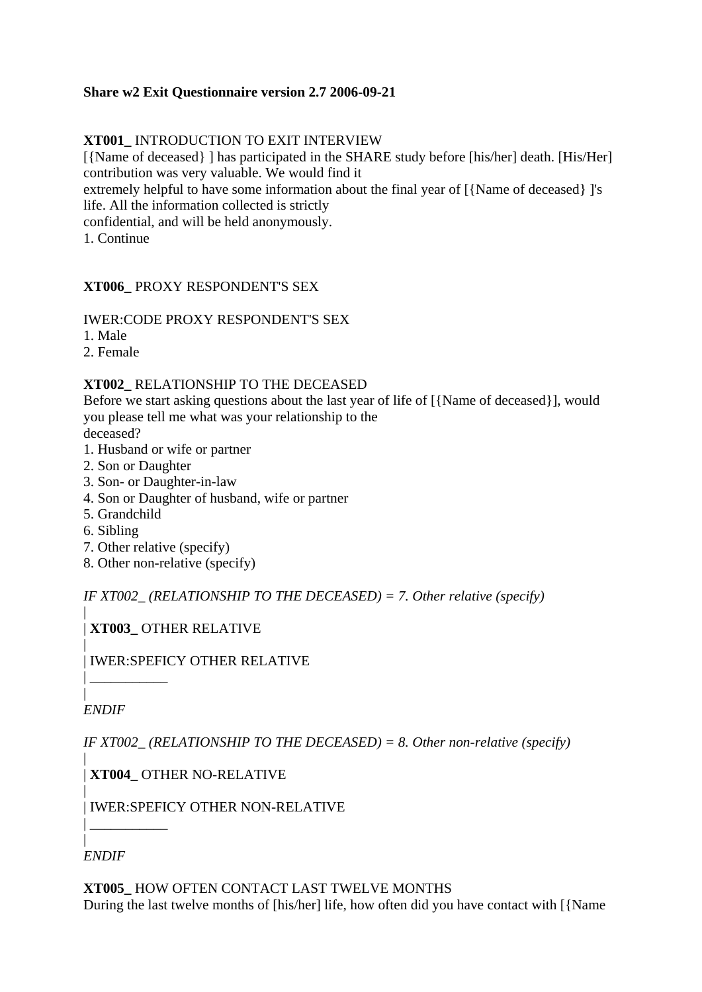## **Share w2 Exit Questionnaire version 2.7 2006-09-21**

## **XT001\_** INTRODUCTION TO EXIT INTERVIEW

[{Name of deceased} ] has participated in the SHARE study before [his/her] death. [His/Her] contribution was very valuable. We would find it

extremely helpful to have some information about the final year of [{Name of deceased} ]'s life. All the information collected is strictly

confidential, and will be held anonymously.

1. Continue

## **XT006\_** PROXY RESPONDENT'S SEX

### IWER:CODE PROXY RESPONDENT'S SEX

1. Male

2. Female

### **XT002\_** RELATIONSHIP TO THE DECEASED

Before we start asking questions about the last year of life of [{Name of deceased}], would you please tell me what was your relationship to the

deceased?

- 1. Husband or wife or partner
- 2. Son or Daughter
- 3. Son- or Daughter-in-law
- 4. Son or Daughter of husband, wife or partner
- 5. Grandchild
- 6. Sibling
- 7. Other relative (specify)
- 8. Other non-relative (specify)

*IF XT002\_ (RELATIONSHIP TO THE DECEASED) = 7. Other relative (specify)*

| | **XT003\_** OTHER RELATIVE

| | IWER:SPEFICY OTHER RELATIVE

| *ENDIF*

| \_\_\_\_\_\_\_\_\_\_\_\_\_\_\_\_\_

*IF XT002\_ (RELATIONSHIP TO THE DECEASED) = 8. Other non-relative (specify)*

| | **XT004\_** OTHER NO-RELATIVE

| | IWER:SPEFICY OTHER NON-RELATIVE

| *ENDIF*

| \_\_\_\_\_\_\_\_\_\_\_\_\_\_\_\_\_

**XT005\_** HOW OFTEN CONTACT LAST TWELVE MONTHS During the last twelve months of [his/her] life, how often did you have contact with [{Name}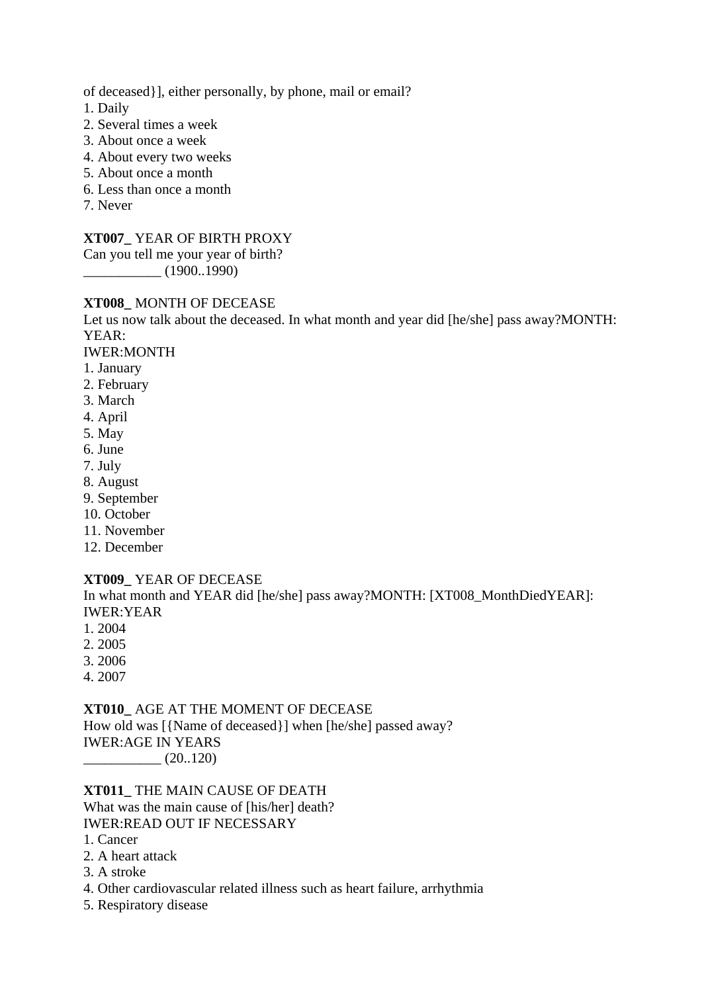of deceased}], either personally, by phone, mail or email?

1. Daily

- 2. Several times a week
- 3. About once a week
- 4. About every two weeks
- 5. About once a month
- 6. Less than once a month
- 7. Never

### **XT007\_** YEAR OF BIRTH PROXY

Can you tell me your year of birth?

\_\_\_\_\_\_\_\_\_\_\_ (1900..1990)

## **XT008\_** MONTH OF DECEASE

Let us now talk about the deceased. In what month and year did [he/she] pass away?MONTH: YEAR:

IWER:MONTH

- 1. January
- 2. February
- 3. March
- 4. April
- 5. May
- 6. June
- 7. July
- 8. August
- 9. September
- 10. October
- 11. November
- 12. December

### **XT009\_** YEAR OF DECEASE

In what month and YEAR did [he/she] pass away?MONTH: [XT008\_MonthDiedYEAR]: IWER:YEAR

- 1. 2004
- 2. 2005
- 3. 2006
- 4. 2007

**XT010\_** AGE AT THE MOMENT OF DECEASE How old was [{Name of deceased}] when [he/she] passed away? IWER:AGE IN YEARS  $(20..120)$ 

**XT011\_** THE MAIN CAUSE OF DEATH What was the main cause of [his/her] death?

IWER:READ OUT IF NECESSARY

- 1. Cancer
- 2. A heart attack
- 3. A stroke
- 4. Other cardiovascular related illness such as heart failure, arrhythmia
- 5. Respiratory disease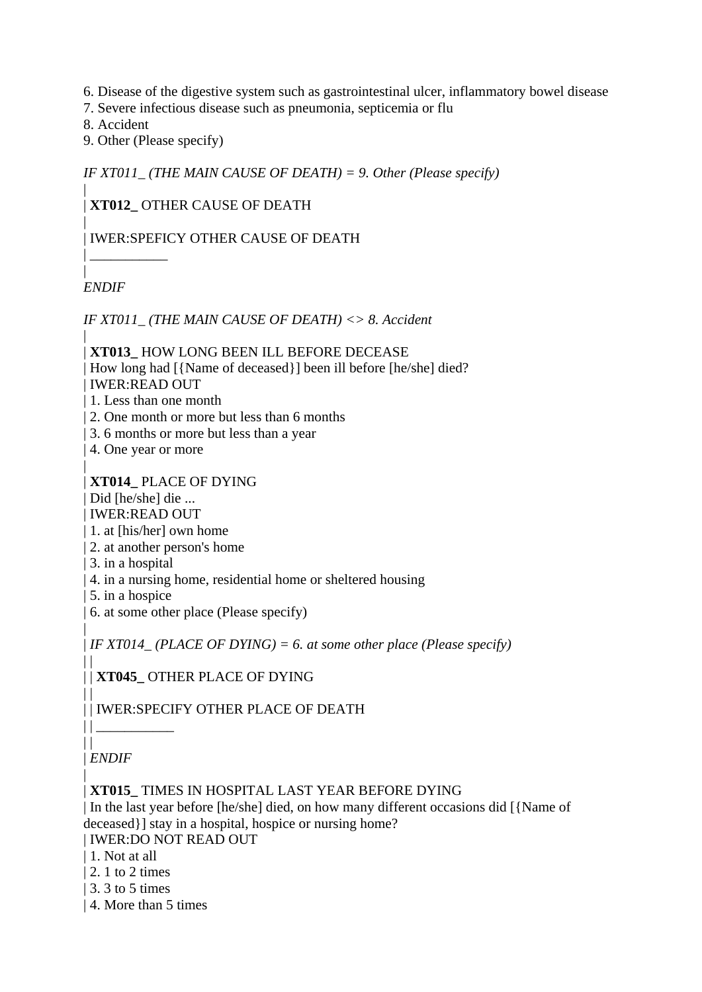- 6. Disease of the digestive system such as gastrointestinal ulcer, inflammatory bowel disease
- 7. Severe infectious disease such as pneumonia, septicemia or flu
- 8. Accident
- 9. Other (Please specify)

*IF XT011\_ (THE MAIN CAUSE OF DEATH) = 9. Other (Please specify)*

### | | **XT012\_** OTHER CAUSE OF DEATH

### | | IWER:SPEFICY OTHER CAUSE OF DEATH

| *ENDIF*

|

|

 $\Box$ 

 $\Box$ 

 $||$   $||$ 

| \_\_\_\_\_\_\_\_\_\_\_

*IF XT011\_ (THE MAIN CAUSE OF DEATH) <> 8. Accident*

| | **XT013\_** HOW LONG BEEN ILL BEFORE DECEASE | How long had  $[\{Name ofs]\}$ ] been ill before  $[he/she]$  died? | IWER:READ OUT

| 1. Less than one month

- | 2. One month or more but less than 6 months
- | 3. 6 months or more but less than a year
- | 4. One year or more

| **XT014\_** PLACE OF DYING

| Did [he/she] die ...

| IWER:READ OUT

- | 1. at [his/her] own home
- | 2. at another person's home
- | 3. in a hospital
- | 4. in a nursing home, residential home or sheltered housing
- | 5. in a hospice
- | 6. at some other place (Please specify)

| *IF XT014\_ (PLACE OF DYING) = 6. at some other place (Please specify)*

| | **XT045\_** OTHER PLACE OF DYING

| | IWER:SPECIFY OTHER PLACE OF DEATH

 $||$ | *ENDIF*

| | **XT015\_** TIMES IN HOSPITAL LAST YEAR BEFORE DYING

| In the last year before [he/she] died, on how many different occasions did [{Name of deceased}] stay in a hospital, hospice or nursing home?

| IWER:DO NOT READ OUT

- | 1. Not at all
- | 2. 1 to 2 times
- | 3. 3 to 5 times
- | 4. More than 5 times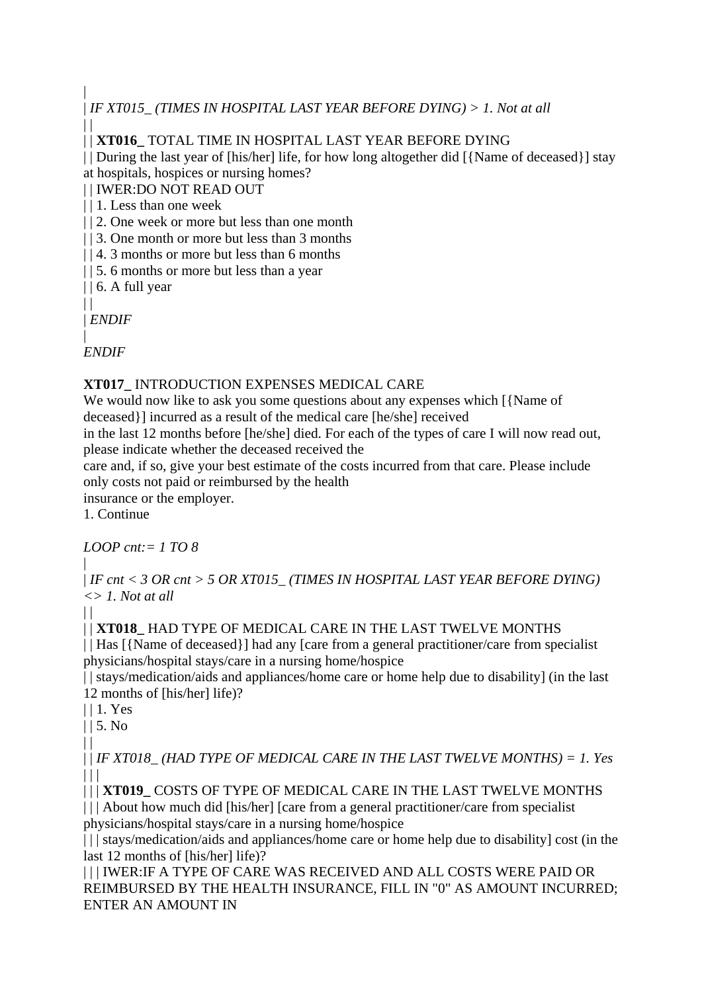| | *IF XT015\_ (TIMES IN HOSPITAL LAST YEAR BEFORE DYING) > 1. Not at all*  $\|$ 

| | **XT016\_** TOTAL TIME IN HOSPITAL LAST YEAR BEFORE DYING

| | During the last year of [his/her] life, for how long altogether did [{Name of deceased}] stay at hospitals, hospices or nursing homes?

| | IWER:DO NOT READ OUT

| | 1. Less than one week

| | 2. One week or more but less than one month

| | 3. One month or more but less than 3 months

| | 4. 3 months or more but less than 6 months

| | 5. 6 months or more but less than a year

 $|| 6. A full year$ 

 $\|$ | *ENDIF*

| *ENDIF*

## **XT017\_** INTRODUCTION EXPENSES MEDICAL CARE

We would now like to ask you some questions about any expenses which [{Name of deceased}] incurred as a result of the medical care [he/she] received

in the last 12 months before [he/she] died. For each of the types of care I will now read out, please indicate whether the deceased received the

care and, if so, give your best estimate of the costs incurred from that care. Please include only costs not paid or reimbursed by the health

insurance or the employer.

1. Continue

*LOOP cnt:= 1 TO 8*

| | *IF cnt < 3 OR cnt > 5 OR XT015\_ (TIMES IN HOSPITAL LAST YEAR BEFORE DYING) <> 1. Not at all*

 $\Box$ 

| | **XT018\_** HAD TYPE OF MEDICAL CARE IN THE LAST TWELVE MONTHS

| | Has  $\frac{1}{\text{Name of }t}$  | had any  $\text{[care from a general practitioner/care from specialist]}$ physicians/hospital stays/care in a nursing home/hospice

| | stays/medication/aids and appliances/home care or home help due to disability] (in the last 12 months of [his/her] life)?

| | 1. Yes

 $|| 5. No$ 

 $| |$ 

| | *IF XT018\_ (HAD TYPE OF MEDICAL CARE IN THE LAST TWELVE MONTHS) = 1. Yes*  $\Box$ 

| | | **XT019\_** COSTS OF TYPE OF MEDICAL CARE IN THE LAST TWELVE MONTHS | | | About how much did [his/her] [care from a general practitioner/care from specialist

physicians/hospital stays/care in a nursing home/hospice

|| | stays/medication/aids and appliances/home care or home help due to disability] cost (in the last 12 months of [his/her] life)?

| | | IWER:IF A TYPE OF CARE WAS RECEIVED AND ALL COSTS WERE PAID OR REIMBURSED BY THE HEALTH INSURANCE, FILL IN "0" AS AMOUNT INCURRED; ENTER AN AMOUNT IN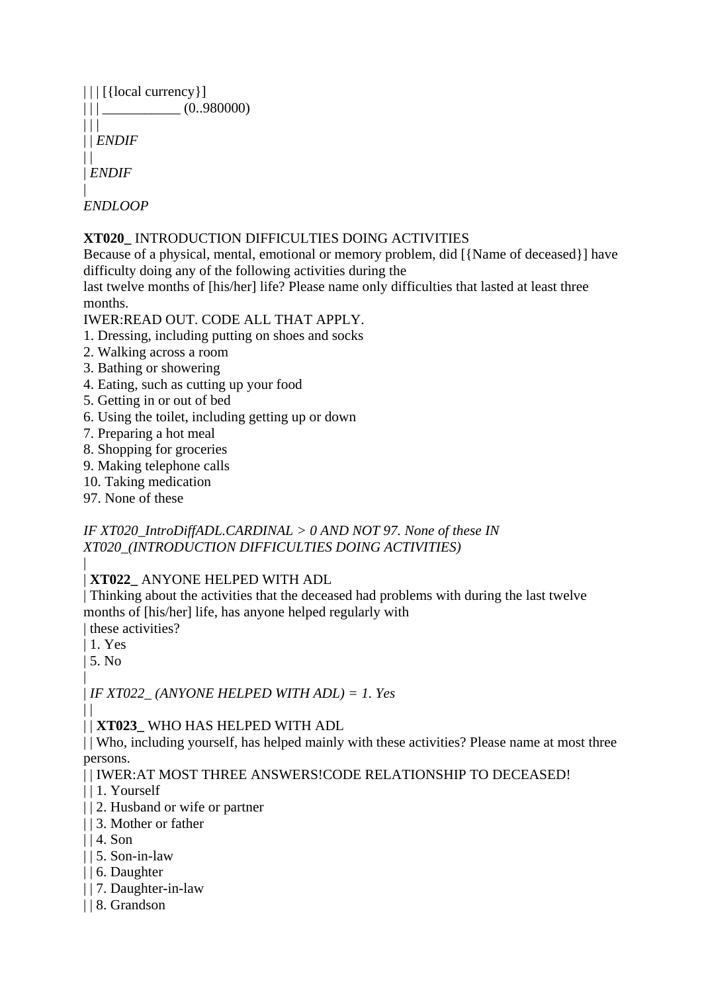| $    $ [{local currency}] |            |
|---------------------------|------------|
| $\perp$                   | (0.980000) |
| $\perp$                   |            |
| $  $ ENDIF                |            |
|                           |            |
| ENDIF                     |            |
|                           |            |
| <i>ENDLOOP</i>            |            |

## **XT020\_** INTRODUCTION DIFFICULTIES DOING ACTIVITIES

Because of a physical, mental, emotional or memory problem, did [{Name of deceased}] have difficulty doing any of the following activities during the

last twelve months of [his/her] life? Please name only difficulties that lasted at least three months.

### IWER:READ OUT. CODE ALL THAT APPLY.

- 1. Dressing, including putting on shoes and socks
- 2. Walking across a room
- 3. Bathing or showering
- 4. Eating, such as cutting up your food
- 5. Getting in or out of bed
- 6. Using the toilet, including getting up or down
- 7. Preparing a hot meal
- 8. Shopping for groceries
- 9. Making telephone calls
- 10. Taking medication
- 97. None of these

## *IF XT020\_IntroDiffADL.CARDINAL > 0 AND NOT 97. None of these IN XT020\_(INTRODUCTION DIFFICULTIES DOING ACTIVITIES)*

#### | | **XT022\_** ANYONE HELPED WITH ADL

| Thinking about the activities that the deceased had problems with during the last twelve months of [his/her] life, has anyone helped regularly with | these activities?

| 1. Yes

| 5. No

 $\Box$ 

| | *IF XT022\_ (ANYONE HELPED WITH ADL) = 1. Yes*

| | **XT023\_** WHO HAS HELPED WITH ADL

| | Who, including yourself, has helped mainly with these activities? Please name at most three persons.

| | IWER:AT MOST THREE ANSWERS!CODE RELATIONSHIP TO DECEASED!

- | | 1. Yourself
- | | 2. Husband or wife or partner
- | | 3. Mother or father
- $|$  | 4. Son
- | | 5. Son-in-law
- | | 6. Daughter
- | | 7. Daughter-in-law
- | | 8. Grandson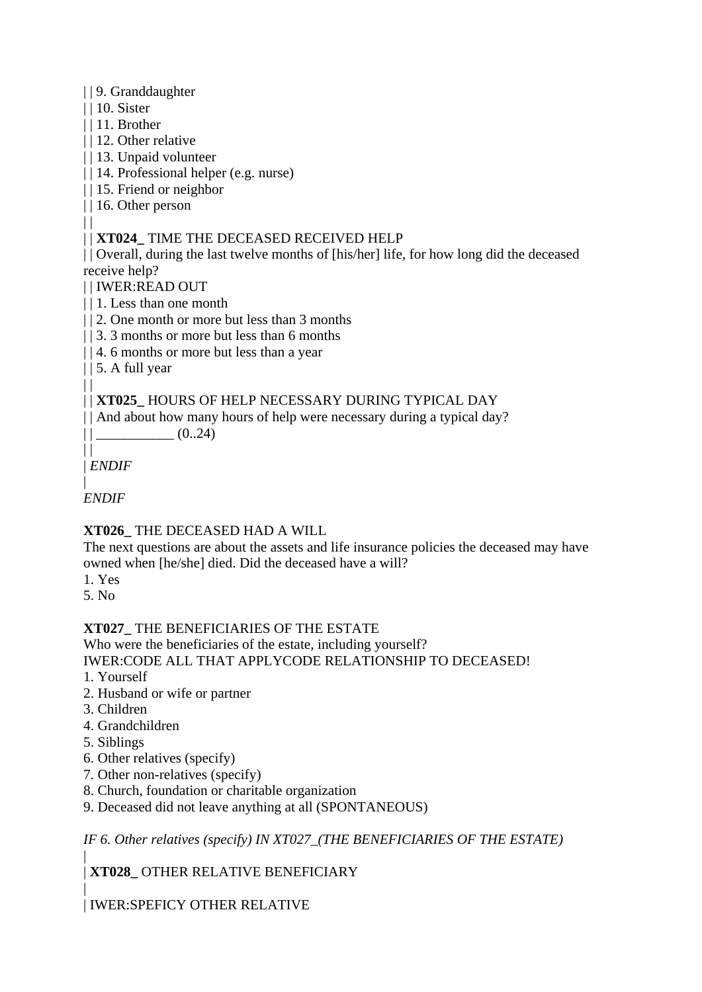## | | 9. Granddaughter

| | 10. Sister

 $\Box$ 

- | | 11. Brother
- | | 12. Other relative
- | | 13. Unpaid volunteer
- | | 14. Professional helper (e.g. nurse)
- | | 15. Friend or neighbor
- | | 16. Other person

## | | **XT024\_** TIME THE DECEASED RECEIVED HELP

| | Overall, during the last twelve months of [his/her] life, for how long did the deceased receive help?

- | | IWER:READ OUT
- | | 1. Less than one month
- | | 2. One month or more but less than 3 months
- | | 3. 3 months or more but less than 6 months
- | | 4. 6 months or more but less than a year
- | | 5. A full year  $| |$

## | | **XT025\_** HOURS OF HELP NECESSARY DURING TYPICAL DAY

|| And about how many hours of help were necessary during a typical day?

 $||$   $(0..24)$ 

 $\Box$ | *ENDIF*

| *ENDIF*

# **XT026\_** THE DECEASED HAD A WILL

The next questions are about the assets and life insurance policies the deceased may have owned when [he/she] died. Did the deceased have a will?

- 1. Yes
- 5. No

# **XT027\_** THE BENEFICIARIES OF THE ESTATE

Who were the beneficiaries of the estate, including yourself?

IWER:CODE ALL THAT APPLYCODE RELATIONSHIP TO DECEASED!

- 1. Yourself
- 2. Husband or wife or partner
- 3. Children
- 4. Grandchildren
- 5. Siblings
- 6. Other relatives (specify)
- 7. Other non-relatives (specify)
- 8. Church, foundation or charitable organization
- 9. Deceased did not leave anything at all (SPONTANEOUS)

*IF 6. Other relatives (specify) IN XT027\_(THE BENEFICIARIES OF THE ESTATE)*

| | **XT028\_** OTHER RELATIVE BENEFICIARY

| | IWER:SPEFICY OTHER RELATIVE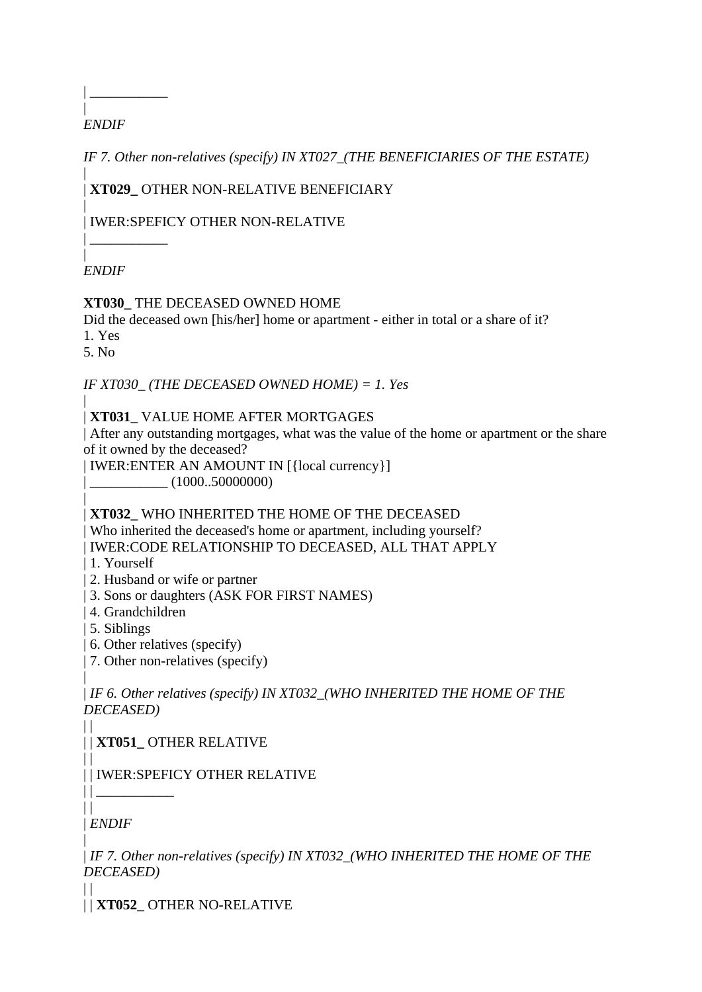### | *ENDIF*

| \_\_\_\_\_\_\_\_\_\_\_\_\_\_\_\_\_

*IF 7. Other non-relatives (specify) IN XT027\_(THE BENEFICIARIES OF THE ESTATE)*

| | **XT029\_** OTHER NON-RELATIVE BENEFICIARY

| | IWER:SPEFICY OTHER NON-RELATIVE

| *ENDIF*

| \_\_\_\_\_\_\_\_\_\_\_

## **XT030\_** THE DECEASED OWNED HOME

Did the deceased own [his/her] home or apartment - either in total or a share of it?

1. Yes

5. No

*IF XT030\_ (THE DECEASED OWNED HOME) = 1. Yes*

| | **XT031\_** VALUE HOME AFTER MORTGAGES

| After any outstanding mortgages, what was the value of the home or apartment or the share of it owned by the deceased?

| IWER:ENTER AN AMOUNT IN [{local currency}]

 $|\_$  (1000..50000000)

| | **XT032\_** WHO INHERITED THE HOME OF THE DECEASED

| Who inherited the deceased's home or apartment, including yourself?

| IWER:CODE RELATIONSHIP TO DECEASED, ALL THAT APPLY

- | 1. Yourself
- | 2. Husband or wife or partner
- | 3. Sons or daughters (ASK FOR FIRST NAMES)
- | 4. Grandchildren
- | 5. Siblings
- | 6. Other relatives (specify)
- | 7. Other non-relatives (specify)

| | *IF 6. Other relatives (specify) IN XT032\_(WHO INHERITED THE HOME OF THE DECEASED)*

 $\begin{array}{c} \hline \end{array}$ | | **XT051\_** OTHER RELATIVE

 $\Box$ | | IWER:SPEFICY OTHER RELATIVE

 $\|$ | *ENDIF*

| | \_\_\_\_\_\_\_\_\_\_\_

| | *IF 7. Other non-relatives (specify) IN XT032\_(WHO INHERITED THE HOME OF THE DECEASED)*

 $\vert \vert$ | | **XT052\_** OTHER NO-RELATIVE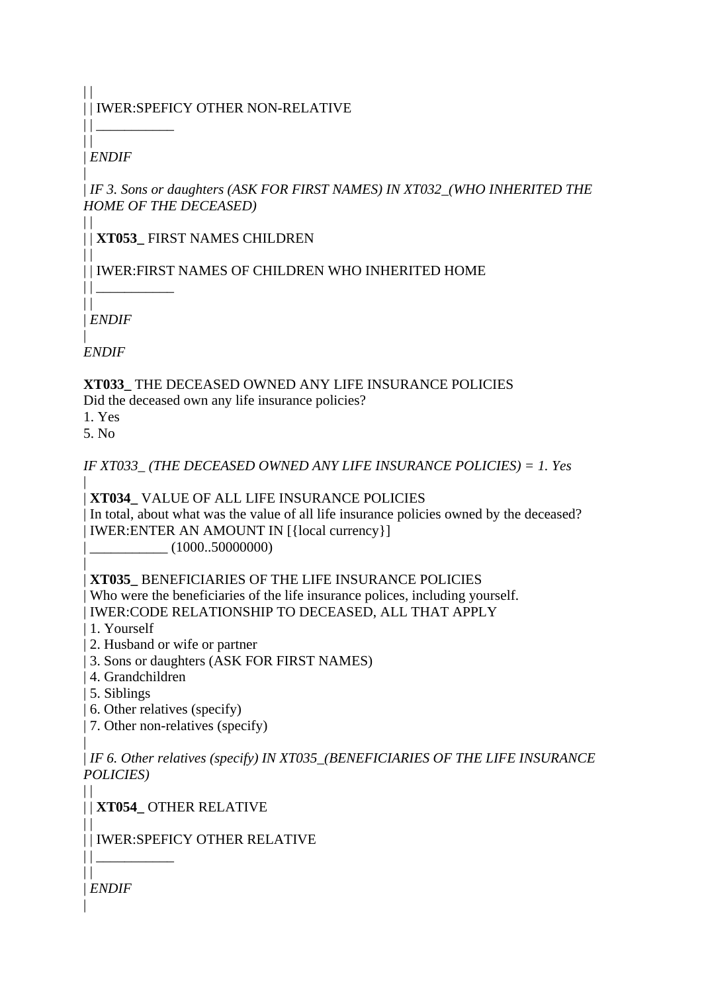# | | IWER:SPEFICY OTHER NON-RELATIVE

 $||$ | *ENDIF*

 $\Box$ 

 $|| \cdot ||$ 

 $\|$ 

 $\Box$ 

| | *IF 3. Sons or daughters (ASK FOR FIRST NAMES) IN XT032\_(WHO INHERITED THE HOME OF THE DECEASED)*

| | **XT053\_** FIRST NAMES CHILDREN

| | IWER:FIRST NAMES OF CHILDREN WHO INHERITED HOME

 $\|$ | *ENDIF*

 $||$ 

| *ENDIF*

**XT033\_** THE DECEASED OWNED ANY LIFE INSURANCE POLICIES Did the deceased own any life insurance policies?

1. Yes

5. No

*IF XT033\_ (THE DECEASED OWNED ANY LIFE INSURANCE POLICIES) = 1. Yes*

| | **XT034\_** VALUE OF ALL LIFE INSURANCE POLICIES

| In total, about what was the value of all life insurance policies owned by the deceased? | IWER:ENTER AN AMOUNT IN [{local currency}]

 $|\_$  (1000..50000000)

| | **XT035\_** BENEFICIARIES OF THE LIFE INSURANCE POLICIES

| Who were the beneficiaries of the life insurance polices, including yourself. | IWER:CODE RELATIONSHIP TO DECEASED, ALL THAT APPLY

- | 1. Yourself
- | 2. Husband or wife or partner
- | 3. Sons or daughters (ASK FOR FIRST NAMES)
- | 4. Grandchildren
- | 5. Siblings
- | 6. Other relatives (specify)
- | 7. Other non-relatives (specify)

| | *IF 6. Other relatives (specify) IN XT035\_(BENEFICIARIES OF THE LIFE INSURANCE POLICIES)*

 $\|$ | | **XT054\_** OTHER RELATIVE

| | IWER:SPEFICY OTHER RELATIVE

| *ENDIF*

 $||$  $||$ 

 $\Box$ 

|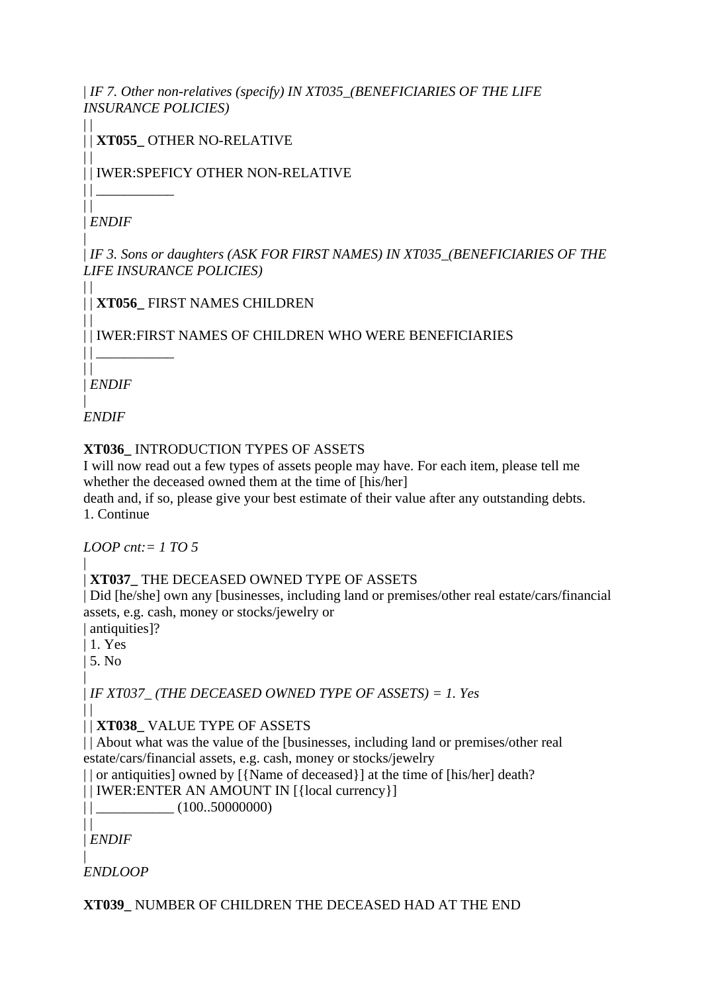| *IF 7. Other non-relatives (specify) IN XT035\_(BENEFICIARIES OF THE LIFE INSURANCE POLICIES)*

 $\begin{array}{c} \hline \end{array}$ | | **XT055\_** OTHER NO-RELATIVE

| | IWER:SPEFICY OTHER NON-RELATIVE

 $\|$ | *ENDIF*

 $\perp$ 

 $||$   $||$ 

 $\Box$ 

 $\perp$ 

| | *IF 3. Sons or daughters (ASK FOR FIRST NAMES) IN XT035\_(BENEFICIARIES OF THE LIFE INSURANCE POLICIES)*

| | **XT056\_** FIRST NAMES CHILDREN

 $\Box$ | | IWER:FIRST NAMES OF CHILDREN WHO WERE BENEFICIARIES

 $\perp$ | *ENDIF*

| *ENDIF*

## **XT036\_** INTRODUCTION TYPES OF ASSETS

I will now read out a few types of assets people may have. For each item, please tell me whether the deceased owned them at the time of [his/her]

death and, if so, please give your best estimate of their value after any outstanding debts. 1. Continue

*LOOP cnt:= 1 TO 5*

### | | **XT037\_** THE DECEASED OWNED TYPE OF ASSETS

| Did [he/she] own any [businesses, including land or premises/other real estate/cars/financial assets, e.g. cash, money or stocks/jewelry or

| antiquities]?

| 1. Yes

| 5. No |

| *IF XT037\_ (THE DECEASED OWNED TYPE OF ASSETS) = 1. Yes*

 $\Box$ | | **XT038\_** VALUE TYPE OF ASSETS

|| About what was the value of the [businesses, including land or premises/other real estate/cars/financial assets, e.g. cash, money or stocks/jewelry

| | or antiquities] owned by [{Name of deceased}] at the time of [his/her] death?

| | IWER:ENTER AN AMOUNT IN [{local currency}]

 $||$   $|$   $(100..50000000)$ 

 $\|$ | *ENDIF*

| *ENDLOOP*

# **XT039\_** NUMBER OF CHILDREN THE DECEASED HAD AT THE END